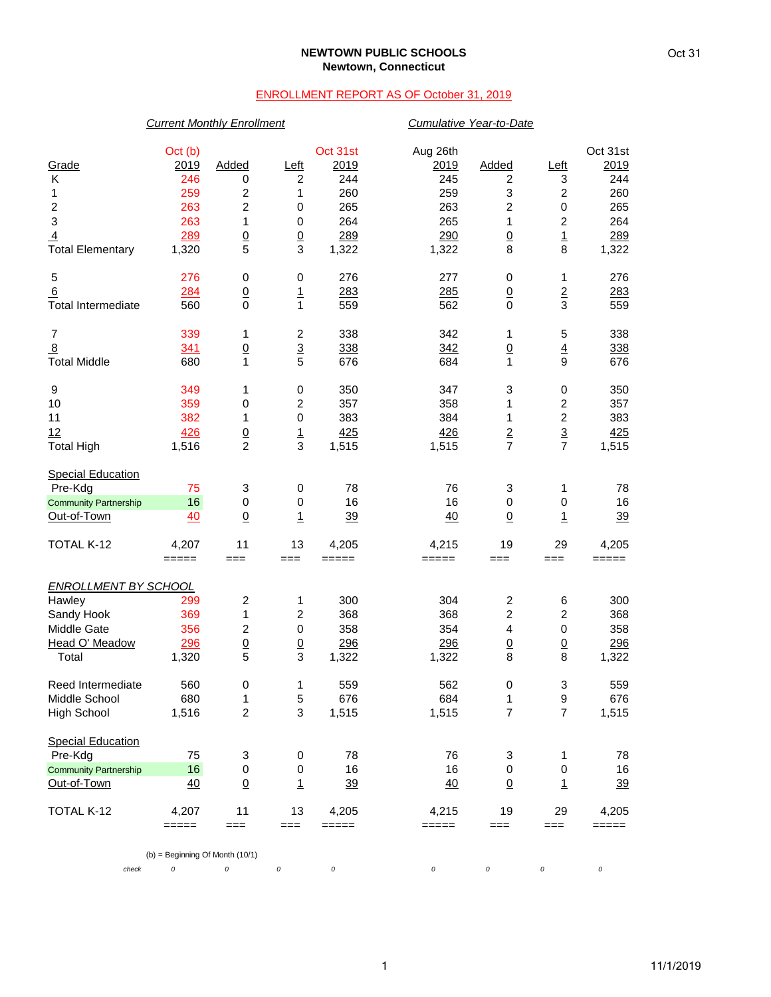#### **NEWTOWN PUBLIC SCHOOLS Newtown, Connecticut**

### ENROLLMENT REPORT AS OF October 31, 2019

# *Current Monthly Enrollment Cumulative Year-to-Date* Oct (b) Oct 31st Aug 26th Oct 31st Grade 2019 Added Left 2019 2019 Added Left 2019 K 246 0 2 244 245 2 3 244 1 259 2 1 260 259 3 2 260 2 263 2 0 265 263 2 0 265 3 263 1 0 264 265 1 2 264 <u>4</u> 289 0 0 289 290 0 1 289 Total Elementary 1,320 5 3 1,322 1,322 8 8 1,322 5 276 0 0 276 277 0 1 276 6 284 0 1 283 285 0 2 283 Total Intermediate  $560$  0 1 559 562 0 3 559 7 339 1 2 338 342 1 5 338 <u>8 338 342 0 4 338</u> Total Middle 680 1 5 676 684 1 9 676 9 349 1 0 350 347 3 0 350 10 359 0 2 357 358 1 2 357 11 382 1 0 383 384 1 2 383 12 426 0 1 425 426 2 3 425 Total High 1,516 2 3 1,515 1,515 7 7 1,515 **Special Education**  Pre-Kdg 75 3 0 78 76 3 1 78 <u>Community Partnership 16</u> 0 0 16 16 0 0 16<br>
<u>Out-of-Town 40 0 1 39 40 0 1 39</u> <u>Out-of-Town 40 0 1 39</u> <u>40 0 1 39</u> TOTAL K-12 4,207 11 13 4,205 4,215 19 29 4,205 ===== === === ===== ===== === === ===== *ENROLLMENT BY SCHOOL* Hawley 299 2 1 300 304 2 6 300 Sandy Hook 369 1 2 368 368 2 2 368 Middle Gate 356 2 0 358 354 4 0 358 Portugal O' Meadow 200 0 0 296 296 0 0 296 0 0 296 296 0 0 296 1,322 1,322 8 8 1,322 Total 1,320 5 3 1,322 1,322 8 8 1,322 Reed Intermediate  $\begin{array}{cccccccc} 560 & 0 & 1 & 559 & 562 & 0 & 3 & 559 \\ 1 & 5 & 676 & 684 & 1 & 9 & 676 \end{array}$ Middle School 680 1 5 676 684 1 9 676 High School 1,516 2 3 1,515 1,515 7 7 1,515 Special Education Pre-Kdg 75 3 0 78 76 3 1 78 Community Partnership 16 0 0 16 16 0 0 16 Out-of-Town 40 0 1 39 40 0 1 39 TOTAL K-12 4,207 11 13 4,205 4,215 19 29 4,205 ===== === === ===== ===== === === ===== (b) = Beginning Of Month (10/1)

*check 0 0 0 0 0 0 0 0*